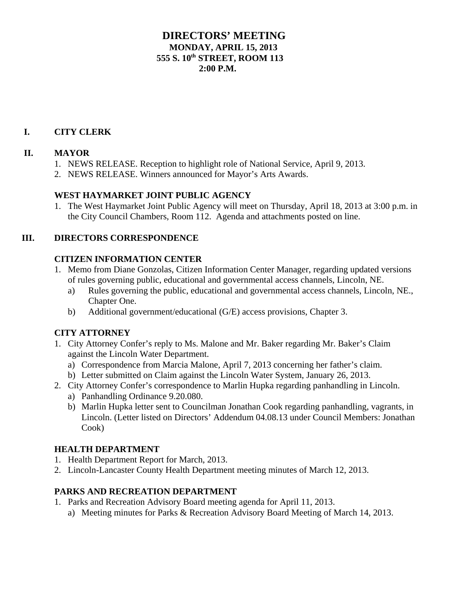## **DIRECTORS' MEETING MONDAY, APRIL 15, 2013 555 S. 10th STREET, ROOM 113**  $2:00 \text{ P M}$

# **I. CITY CLERK**

## **II. MAYOR**

- 1. NEWS RELEASE. Reception to highlight role of National Service, April 9, 2013.
- 2. NEWS RELEASE. Winners announced for Mayor's Arts Awards.

# **WEST HAYMARKET JOINT PUBLIC AGENCY**

1. The West Haymarket Joint Public Agency will meet on Thursday, April 18, 2013 at 3:00 p.m. in the City Council Chambers, Room 112. Agenda and attachments posted on line.

## **III. DIRECTORS CORRESPONDENCE**

## **CITIZEN INFORMATION CENTER**

- 1. Memo from Diane Gonzolas, Citizen Information Center Manager, regarding updated versions of rules governing public, educational and governmental access channels, Lincoln, NE.
	- a) Rules governing the public, educational and governmental access channels, Lincoln, NE., Chapter One.
	- b) Additional government/educational (G/E) access provisions, Chapter 3.

### **CITY ATTORNEY**

- 1. City Attorney Confer's reply to Ms. Malone and Mr. Baker regarding Mr. Baker's Claim against the Lincoln Water Department.
	- a) Correspondence from Marcia Malone, April 7, 2013 concerning her father's claim.
	- b) Letter submitted on Claim against the Lincoln Water System, January 26, 2013.
- 2. City Attorney Confer's correspondence to Marlin Hupka regarding panhandling in Lincoln.
	- a) Panhandling Ordinance 9.20.080.
	- b) Marlin Hupka letter sent to Councilman Jonathan Cook regarding panhandling, vagrants, in Lincoln. (Letter listed on Directors' Addendum 04.08.13 under Council Members: Jonathan Cook)

### **HEALTH DEPARTMENT**

- 1. Health Department Report for March, 2013.
- 2. Lincoln-Lancaster County Health Department meeting minutes of March 12, 2013.

### **PARKS AND RECREATION DEPARTMENT**

- 1. Parks and Recreation Advisory Board meeting agenda for April 11, 2013.
	- a) Meeting minutes for Parks & Recreation Advisory Board Meeting of March 14, 2013.